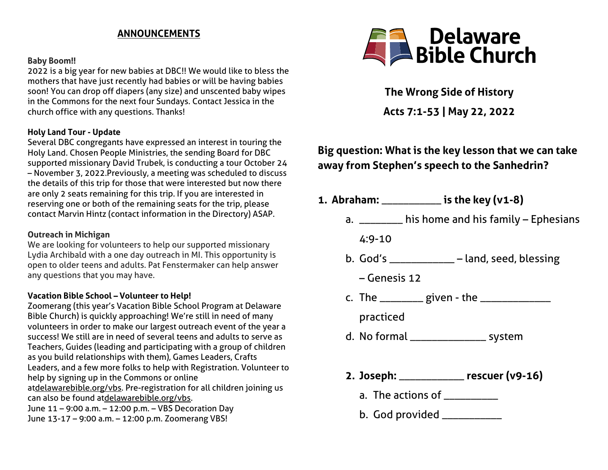### **ANNOUNCEMENTS**

#### **Baby Boom!!**

2022 is a big year for new babies at DBC!! We would like to bless the mothers that have just recently had babies or will be having babies soon! You can drop off diapers (any size) and unscented baby wipes in the Commons for the next four Sundays. Contact Jessica in the church office with any questions. Thanks!

#### **Holy Land Tour - Update**

Several DBC congregants have expressed an interest in touring the Holy Land. Chosen People Ministries, the sending Board for DBC supported missionary David Trubek, is conducting a tour October 24 – November 3, 2022.Previously, a meeting was scheduled to discuss the details of this trip for those that were interested but now there are only 2 seats remaining for this trip. If you are interested in reserving one or both of the remaining seats for the trip, please contact Marvin Hintz (contact information in the Directory) ASAP.

#### **Outreach in Michigan**

We are looking for volunteers to help our supported missionary Lydia Archibald with a one day outreach in MI. This opportunity is open to older teens and adults. Pat Fenstermaker can help answer any questions that you may have.

#### **Vacation Bible School – Volunteer to Help!**

Zoomerang (this year's Vacation Bible School Program at Delaware Bible Church) is quickly approaching! We're still in need of many volunteers in order to make our largest outreach event of the year a success! We still are in need of several teens and adults to serve as Teachers, Guides (leading and participating with a group of children as you build relationships with them), Games Leaders, Crafts Leaders, and a few more folks to help with Registration. Volunteer to help by signing up in the Commons or online a[tdelawarebible.org/vbs.](http://delawarebible.org/vbs) Pre-registration for all children joining us can also be found a[tdelawarebible.org/vbs.](http://delawarebible.org/vbs) June 11 – 9:00 a.m. – 12:00 p.m. – VBS Decoration Day June 13-17 – 9:00 a.m. – 12:00 p.m. Zoomerang VBS!



**The Wrong Side of History Acts 7:1-53 | May 22, 2022**

# **Big question: What is the key lesson that we can take away from Stephen's speech to the Sanhedrin?**

- **1. Abraham:** \_\_\_\_\_\_\_\_\_\_\_ **is the key (v1-8)**
	- a. \_\_\_\_\_\_\_\_ his home and his family Ephesians

4:9-10

- b. God's \_\_\_\_\_\_\_\_\_\_\_\_ land, seed, blessing
	- Genesis 12
- c. The  $\frac{1}{2}$  given the  $\frac{1}{2}$

practiced

- d. No formal \_\_\_\_\_\_\_\_\_\_\_\_\_\_ system
- **2. Joseph:** \_\_\_\_\_\_\_\_\_\_\_\_ **rescuer (v9-16)**
	- a. The actions of \_\_\_\_\_\_\_\_\_\_\_\_
	- b. God provided \_\_\_\_\_\_\_\_\_\_\_